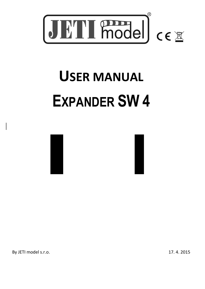

# **USER MANUAL EXPANDER SW 4**





By JETI model s.r.o. 17. 4. 2015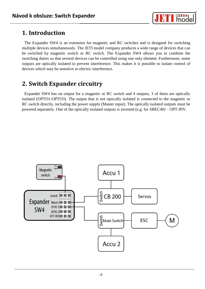

## **1. Introduction**

The Expander SW4 is an extension for magnetic and RC switches and is designed for switching multiple devices simultaneously. The JETI model company produces a wide range of devices that can be switched by magnetic switch or RC switch. The Expander SW4 allows you to combine the switching duties so that several devices can be controlled using one only element. Furthermore, some outputs are optically isolated to prevent interference. This makes it is possible to isolate control of devices which may be sensitive to electric interference.

## **2. Switch Expander circuitry**

Expander SW4 has on output for a magnetic or RC switch and 4 outputs, 3 of them are optically isolated (OPTO1-OPTO3). The output that is not optically isolated is connected to the magnetic or RC switch directly, including the power supply (Master input). The optically isolated outputs must be powered separately. One of the optically isolated outputs is inverted (e.g. for SBEC40) – OPT INV.

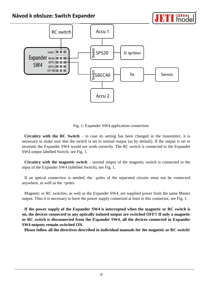#### **Návod k obsluze: Switch Expander**



Fig. 1: Expander SW4 application connection

**Circuitry with the RC Switch** – in case its setting has been changed in the transmitter, it is necessary to make sure that the switch is set to normal output (as by default). If the output is set to inverted, the Expander SW4 would not work correctly. The RC switch is connected to the Expander SW4 output labelled Switch, see Fig. 1.

**Circuitry with the magnetic switch** – normal output of the magnetic switch is connected to the input of the Expander SW4 (labelled Switch), see Fig. 1.

If an optical connection is needed, the –poles of the separated circuits must not be connected anywhere, as well as the +poles.

Magnetic or RC switches, as well as the Expander SW4, are supplied power from the same Master output. Thus it is necessary to have the power supply connected at least to this connector, see Fig. 1.

**If the power supply of the Expander SW4 is interrupted when the magnetic or RC switch is on, the devices connected to any optically isolated output are switched OFF!! If only a magnetic or RC switch is disconnected from the Expander SW4, all the devices connected to Expander SW4 outputs remain switched ON.** 

**Please follow all the directives described in individual manuals for the magnetic or RC switch!**